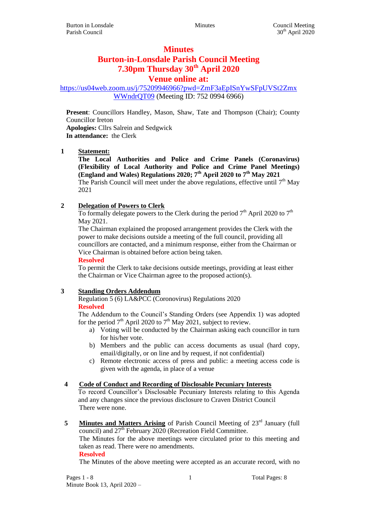# **Minutes**

# **Burton-in-Lonsdale Parish Council Meeting 7.30pm Thursday 30th April 2020**

# **Venue online at:**

[https://us04web.zoom.us/j/75209946966?pwd=ZmF3aEpISnYwSFpUVSt2Zmx](https://us04web.zoom.us/j/75209946966?pwd=ZmF3aEpISnYwSFpUVSt2ZmxWWndrQT09) [WWndrQT09](https://us04web.zoom.us/j/75209946966?pwd=ZmF3aEpISnYwSFpUVSt2ZmxWWndrQT09) (Meeting ID: 752 0994 6966)

**Present**: Councillors Handley, Mason, Shaw, Tate and Thompson (Chair); County Councillor Ireton **Apologies:** Cllrs Salrein and Sedgwick **In attendance:** the Clerk

## **1 Statement:**

**The Local Authorities and Police and Crime Panels (Coronavirus) (Flexibility of Local Authority and Police and Crime Panel Meetings) (England and Wales) Regulations 2020; 7th April 2020 to 7th May 2021** The Parish Council will meet under the above regulations, effective until  $7<sup>th</sup>$  May 2021

## **2 Delegation of Powers to Clerk**

To formally delegate powers to the Clerk during the period  $7<sup>th</sup>$  April 2020 to  $7<sup>th</sup>$ May 2021.

The Chairman explained the proposed arrangement provides the Clerk with the power to make decisions outside a meeting of the full council, providing all councillors are contacted, and a minimum response, either from the Chairman or Vice Chairman is obtained before action being taken.

#### **Resolved**

To permit the Clerk to take decisions outside meetings, providing at least either the Chairman or Vice Chairman agree to the proposed action(s).

# **3 Standing Orders Addendum**

Regulation 5 (6) LA&PCC (Coronovirus) Regulations 2020

## **Resolved**

The Addendum to the Council's Standing Orders (see Appendix 1) was adopted for the period  $7<sup>th</sup>$  April 2020 to  $7<sup>th</sup>$  May 2021, subject to review.

- a) Voting will be conducted by the Chairman asking each councillor in turn for his/her vote.
- b) Members and the public can access documents as usual (hard copy, email/digitally, or on line and by request, if not confidential)
- c) Remote electronic access of press and public: a meeting access code is given with the agenda, in place of a venue

#### **4 Code of Conduct and Recording of Disclosable Pecuniary Interests**

To record Councillor's Disclosable Pecuniary Interests relating to this Agenda and any changes since the previous disclosure to Craven District Council There were none.

**5 Minutes and Matters Arising** of Parish Council Meeting of 23<sup>rd</sup> January (full council) and  $27<sup>th</sup>$  February 2020 (Recreation Field Committee.

The Minutes for the above meetings were circulated prior to this meeting and taken as read. There were no amendments.

**Resolved**

The Minutes of the above meeting were accepted as an accurate record, with no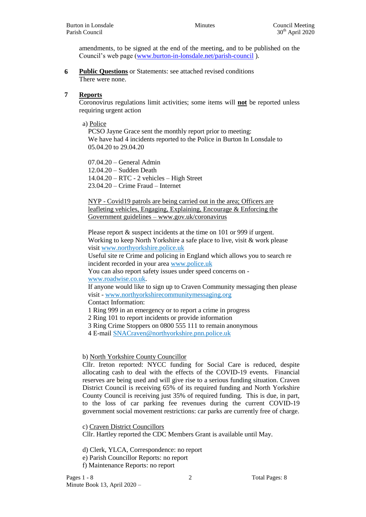amendments, to be signed at the end of the meeting, and to be published on the Council's web page [\(www.burton-in-lonsdale.net/parish-council](http://www.burton-in-lonsdale.net/parish-council) ).

**6 Public Questions** or Statements: see attached revised conditions There were none.

## **7 Reports**

Coronovirus regulations limit activities; some items will **not** be reported unless requiring urgent action

a) Police

PCSO Jayne Grace sent the monthly report prior to meeting: We have had 4 incidents reported to the Police in Burton In Lonsdale to 05.04.20 to 29.04.20

07.04.20 – General Admin 12.04.20 – Sudden Death 14.04.20 – RTC - 2 vehicles – High Street 23.04.20 – Crime Fraud – Internet

NYP - Covid19 patrols are being carried out in the area; Officers are leafleting vehicles, Engaging, Explaining, Encourage & Enforcing the Government guidelines – [www.gov.uk/coronavirus](http://www.gov.uk/coronavirus)

Please report  $\&$  suspect incidents at the time on 101 or 999 if urgent. Working to keep North Yorkshire a safe place to live, visit & work please visit [www.northyorkshire.police.uk](http://www.northyorkshire.police.uk/)

Useful site re Crime and policing in England which allows you to search re incident recorded in your area [www.police.uk](http://www.police.uk/)

You can also report safety issues under speed concerns on -

[www.roadwise.co.uk.](http://www.roadwise.co.uk/)

If anyone would like to sign up to Craven Community messaging then please visit - [www.northyorkshirecommunitymessaging.org](http://www.northyorkshirecommunitymessaging.org/)

Contact Information:

1 Ring 999 in an emergency or to report a crime in progress

2 Ring 101 to report incidents or provide information

3 Ring Crime Stoppers on 0800 555 111 to remain anonymous

4 E-mail [SNACraven@northyorkshire.pnn.police.uk](mailto:SNACraven@northyorkshire.pnn.police.uk)

# b) North Yorkshire County Councillor

Cllr. Ireton reported: NYCC funding for Social Care is reduced, despite allocating cash to deal with the effects of the COVID-19 events. Financial reserves are being used and will give rise to a serious funding situation. Craven District Council is receiving 65% of its required funding and North Yorkshire County Council is receiving just 35% of required funding. This is due, in part, to the loss of car parking fee revenues during the current COVID-19 government social movement restrictions: car parks are currently free of charge.

c) Craven District Councillors

Cllr. Hartley reported the CDC Members Grant is available until May.

d) Clerk, YLCA, Correspondence: no report

- e) Parish Councillor Reports: no report
- f) Maintenance Reports: no report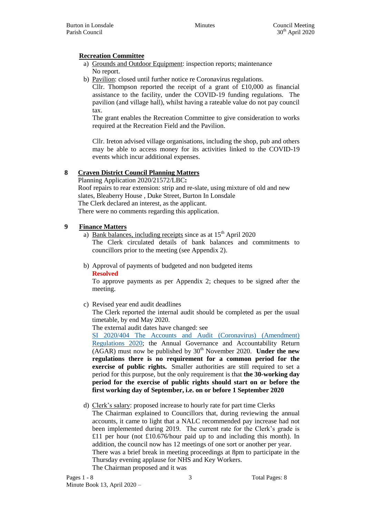# **Recreation Committee**

- a) Grounds and Outdoor Equipment: inspection reports; maintenance No report.
- b) Pavilion: closed until further notice re Coronavirus regulations.

Cllr. Thompson reported the receipt of a grant of £10,000 as financial assistance to the facility, under the COVID-19 funding regulations. The pavilion (and village hall), whilst having a rateable value do not pay council tax.

The grant enables the Recreation Committee to give consideration to works required at the Recreation Field and the Pavilion.

Cllr. Ireton advised village organisations, including the shop, pub and others may be able to access money for its activities linked to the COVID-19 events which incur additional expenses.

# **8 Craven District Council Planning Matters**

Planning Application 2020/21572/LBC**:** Roof repairs to rear extension: strip and re-slate, using mixture of old and new slates, Bleaberry House , Duke Street, Burton In Lonsdale The Clerk declared an interest, as the applicant. There were no comments regarding this application.

## **9 Finance Matters**

a) Bank balances, including receipts since as at  $15<sup>th</sup>$  April 2020

The Clerk circulated details of bank balances and commitments to councillors prior to the meeting (see Appendix 2).

b) Approval of payments of budgeted and non budgeted items **Resolved**

To approve payments as per Appendix 2; cheques to be signed after the meeting.

c) Revised year end audit deadlines

The Clerk reported the internal audit should be completed as per the usual timetable, by end May 2020.

The external audit dates have changed: see

[SI 2020/404 The Accounts and Audit \(Coronavirus\) \(Amendment\)](http://www.legislation.gov.uk/uksi/2020/404/contents/made)  [Regulations 2020;](http://www.legislation.gov.uk/uksi/2020/404/contents/made) the Annual Governance and Accountability Return  $(AGAR)$  must now be published by  $30<sup>th</sup>$  November 2020. **Under the new regulations there is no requirement for a common period for the exercise of public rights.** Smaller authorities are still required to set a period for this purpose, but the only requirement is that **the 30-working day period for the exercise of public rights should start on or before the first working day of September, i.e. on or before 1 September 2020**

d) Clerk's salary: proposed increase to hourly rate for part time Clerks

The Chairman explained to Councillors that, during reviewing the annual accounts, it came to light that a NALC recommended pay increase had not been implemented during 2019. The current rate for the Clerk's grade is £11 per hour (not £10.676/hour paid up to and including this month). In addition, the council now has 12 meetings of one sort or another per year. There was a brief break in meeting proceedings at 8pm to participate in the Thursday evening applause for NHS and Key Workers. The Chairman proposed and it was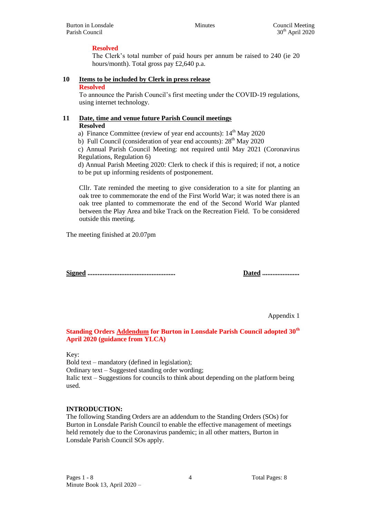# **Resolved**

The Clerk's total number of paid hours per annum be raised to 240 (ie 20 hours/month). Total gross pay £2,640 p.a.

# **10 Items to be included by Clerk in press release**

### **Resolved**

To announce the Parish Council's first meeting under the COVID-19 regulations, using internet technology.

# **11 Date, time and venue future Parish Council meetings**

## **Resolved**

a) Finance Committee (review of year end accounts):  $14<sup>th</sup>$  May 2020

b) Full Council (consideration of year end accounts):  $28<sup>th</sup>$  May 2020

c) Annual Parish Council Meeting: not required until May 2021 (Coronavirus Regulations, Regulation 6)

d) Annual Parish Meeting 2020: Clerk to check if this is required; if not, a notice to be put up informing residents of postponement.

Cllr. Tate reminded the meeting to give consideration to a site for planting an oak tree to commemorate the end of the First World War; it was noted there is an oak tree planted to commemorate the end of the Second World War planted between the Play Area and bike Track on the Recreation Field. To be considered outside this meeting.

The meeting finished at 20.07pm

**Signed .................................................... Dated ......................**

Appendix 1

# **Standing Orders Addendum for Burton in Lonsdale Parish Council adopted 30th April 2020 (guidance from YLCA)**

# Key:

Bold text – mandatory (defined in legislation);

Ordinary text – Suggested standing order wording;

Italic text – Suggestions for councils to think about depending on the platform being used.

# **INTRODUCTION:**

The following Standing Orders are an addendum to the Standing Orders (SOs) for Burton in Lonsdale Parish Council to enable the effective management of meetings held remotely due to the Coronavirus pandemic; in all other matters, Burton in Lonsdale Parish Council SOs apply.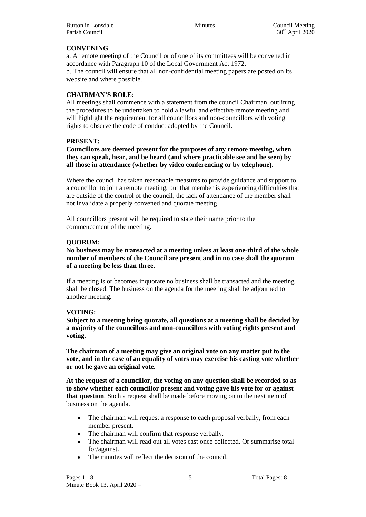# **CONVENING**

a. A remote meeting of the Council or of one of its committees will be convened in accordance with Paragraph 10 of the Local Government Act 1972. b. The council will ensure that all non-confidential meeting papers are posted on its website and where possible.

## **CHAIRMAN'S ROLE:**

All meetings shall commence with a statement from the council Chairman, outlining the procedures to be undertaken to hold a lawful and effective remote meeting and will highlight the requirement for all councillors and non-councillors with voting rights to observe the code of conduct adopted by the Council.

## **PRESENT:**

**Councillors are deemed present for the purposes of any remote meeting, when they can speak, hear, and be heard (and where practicable see and be seen) by all those in attendance (whether by video conferencing or by telephone).**

Where the council has taken reasonable measures to provide guidance and support to a councillor to join a remote meeting, but that member is experiencing difficulties that are outside of the control of the council, the lack of attendance of the member shall not invalidate a properly convened and quorate meeting

All councillors present will be required to state their name prior to the commencement of the meeting.

## **QUORUM:**

**No business may be transacted at a meeting unless at least one-third of the whole number of members of the Council are present and in no case shall the quorum of a meeting be less than three.**

If a meeting is or becomes inquorate no business shall be transacted and the meeting shall be closed. The business on the agenda for the meeting shall be adjourned to another meeting.

# **VOTING:**

**Subject to a meeting being quorate, all questions at a meeting shall be decided by a majority of the councillors and non-councillors with voting rights present and voting.**

**The chairman of a meeting may give an original vote on any matter put to the vote, and in the case of an equality of votes may exercise his casting vote whether or not he gave an original vote.**

**At the request of a councillor, the voting on any question shall be recorded so as to show whether each councillor present and voting gave his vote for or against that question**. Such a request shall be made before moving on to the next item of business on the agenda.

- The chairman will request a response to each proposal verbally, from each member present.
- The chairman will confirm that response verbally.
- The chairman will read out all votes cast once collected. Or summarise total for/against.
- The minutes will reflect the decision of the council.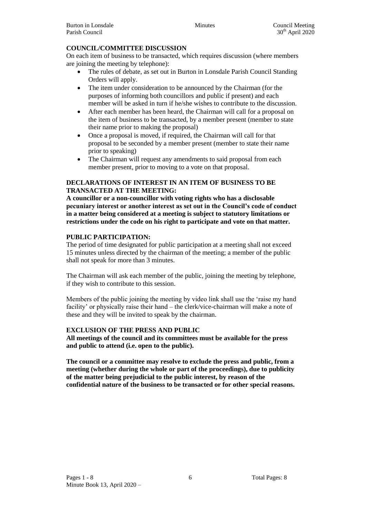## **COUNCIL/COMMITTEE DISCUSSION**

On each item of business to be transacted, which requires discussion (where members are joining the meeting by telephone):

- The rules of debate, as set out in Burton in Lonsdale Parish Council Standing Orders will apply.
- The item under consideration to be announced by the Chairman (for the purposes of informing both councillors and public if present) and each member will be asked in turn if he/she wishes to contribute to the discussion.
- After each member has been heard, the Chairman will call for a proposal on the item of business to be transacted, by a member present (member to state their name prior to making the proposal)
- Once a proposal is moved, if required, the Chairman will call for that proposal to be seconded by a member present (member to state their name prior to speaking)
- The Chairman will request any amendments to said proposal from each member present, prior to moving to a vote on that proposal.

## **DECLARATIONS OF INTEREST IN AN ITEM OF BUSINESS TO BE TRANSACTED AT THE MEETING:**

**A councillor or a non-councillor with voting rights who has a disclosable pecuniary interest or another interest as set out in the Council's code of conduct in a matter being considered at a meeting is subject to statutory limitations or restrictions under the code on his right to participate and vote on that matter.**

## **PUBLIC PARTICIPATION:**

The period of time designated for public participation at a meeting shall not exceed 15 minutes unless directed by the chairman of the meeting; a member of the public shall not speak for more than 3 minutes.

The Chairman will ask each member of the public, joining the meeting by telephone, if they wish to contribute to this session.

Members of the public joining the meeting by video link shall use the 'raise my hand facility' or physically raise their hand – the clerk/vice-chairman will make a note of these and they will be invited to speak by the chairman.

# **EXCLUSION OF THE PRESS AND PUBLIC**

**All meetings of the council and its committees must be available for the press and public to attend (i.e. open to the public).**

**The council or a committee may resolve to exclude the press and public, from a meeting (whether during the whole or part of the proceedings), due to publicity of the matter being prejudicial to the public interest, by reason of the confidential nature of the business to be transacted or for other special reasons.**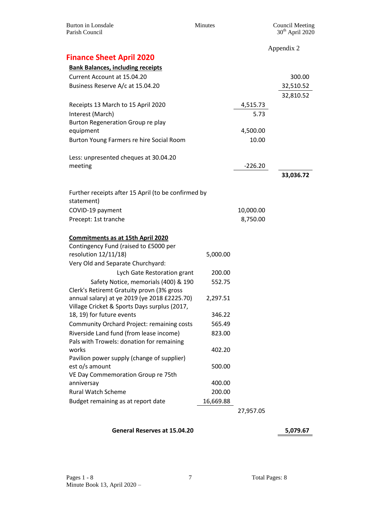| <b>Burton</b> in Lonsdale<br>Parish Council                                       | Minutes   |           | <b>Council Meeting</b><br>$30th$ April 2020 |
|-----------------------------------------------------------------------------------|-----------|-----------|---------------------------------------------|
|                                                                                   |           |           | Appendix 2                                  |
| <b>Finance Sheet April 2020</b>                                                   |           |           |                                             |
| <b>Bank Balances, including receipts</b>                                          |           |           |                                             |
| Current Account at 15.04.20                                                       |           |           | 300.00                                      |
| Business Reserve A/c at 15.04.20                                                  |           |           | 32,510.52                                   |
|                                                                                   |           |           | 32,810.52                                   |
| Receipts 13 March to 15 April 2020                                                |           | 4,515.73  |                                             |
| Interest (March)                                                                  |           | 5.73      |                                             |
| Burton Regeneration Group re play                                                 |           |           |                                             |
| equipment                                                                         |           | 4,500.00  |                                             |
| Burton Young Farmers re hire Social Room                                          |           | 10.00     |                                             |
|                                                                                   |           |           |                                             |
| Less: unpresented cheques at 30.04.20                                             |           |           |                                             |
| meeting                                                                           |           | $-226.20$ |                                             |
|                                                                                   |           |           | 33,036.72                                   |
|                                                                                   |           |           |                                             |
| Further receipts after 15 April (to be confirmed by                               |           |           |                                             |
| statement)                                                                        |           |           |                                             |
| COVID-19 payment                                                                  |           | 10,000.00 |                                             |
| Precept: 1st tranche                                                              |           | 8,750.00  |                                             |
|                                                                                   |           |           |                                             |
| <b>Commitments as at 15th April 2020</b><br>Contingency Fund (raised to £5000 per |           |           |                                             |
| resolution 12/11/18)                                                              | 5,000.00  |           |                                             |
| Very Old and Separate Churchyard:                                                 |           |           |                                             |
| Lych Gate Restoration grant                                                       | 200.00    |           |                                             |
| Safety Notice, memorials (400) & 190                                              | 552.75    |           |                                             |
| Clerk's Retiremt Gratuity provn (3% gross                                         |           |           |                                             |
| annual salary) at ye 2019 (ye 2018 £2225.70)                                      | 2,297.51  |           |                                             |
| Village Cricket & Sports Days surplus (2017,                                      |           |           |                                             |
| 18, 19) for future events                                                         | 346.22    |           |                                             |
| Community Orchard Project: remaining costs                                        | 565.49    |           |                                             |
| Riverside Land fund (from lease income)                                           | 823.00    |           |                                             |
| Pals with Trowels: donation for remaining                                         |           |           |                                             |
| works                                                                             | 402.20    |           |                                             |
| Pavilion power supply (change of supplier)                                        |           |           |                                             |
| est o/s amount                                                                    | 500.00    |           |                                             |
| VE Day Commemoration Group re 75th<br>anniversay                                  | 400.00    |           |                                             |
| <b>Rural Watch Scheme</b>                                                         | 200.00    |           |                                             |
| Budget remaining as at report date                                                | 16,669.88 |           |                                             |
|                                                                                   |           | 27,957.05 |                                             |
|                                                                                   |           |           |                                             |

# **General Reserves at 15.04.20 5,079.67**